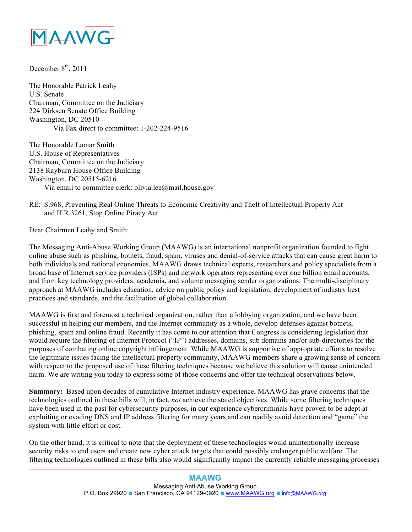

December  $8<sup>th</sup>$ , 2011

The Honorable Patrick Leahy U.S. Senate Chairman, Committee on the Judiciary 224 Dirksen Senate Office Building Washington, DC 20510 Via Fax direct to committee: 1-202-224-9516

The Honorable Lamar Smith U.S. House of Representatives Chairman, Committee on the Judiciary 2138 Rayburn House Office Building Washington, DC 20515-6216 Via email to committee clerk: olivia.lee@mail.house.gov

## RE: S.968, Preventing Real Online Threats to Economic Creativity and Theft of Intellectual Property Act and H.R.3261, Stop Online Piracy Act

Dear Chairmen Leahy and Smith:

The Messaging Anti-Abuse Working Group (MAAWG) is an international nonprofit organization founded to fight online abuse such as phishing, botnets, fraud, spam, viruses and denial-of-service attacks that can cause great harm to both individuals and national economies. MAAWG draws technical experts, researchers and policy specialists from a broad base of Internet service providers (ISPs) and network operators representing over one billion email accounts, and from key technology providers, academia, and volume messaging sender organizations. The multi-disciplinary approach at MAAWG includes education, advice on public policy and legislation, development of industry best practices and standards, and the facilitation of global collaboration.

MAAWG is first and foremost a technical organization, rather than a lobbying organization, and we have been successful in helping our members, and the Internet community as a whole, develop defenses against botnets, phishing, spam and online fraud. Recently it has come to our attention that Congress is considering legislation that would require the filtering of Internet Protocol ("IP") addresses, domains, sub domains and/or sub-directories for the purposes of combating online copyright infringement. While MAAWG is supportive of appropriate efforts to resolve the legitimate issues facing the intellectual property community, MAAWG members share a growing sense of concern with respect to the proposed use of these filtering techniques because we believe this solution will cause unintended harm. We are writing you today to express some of those concerns and offer the technical observations below.

**Summary:** Based upon decades of cumulative Internet industry experience, MAAWG has grave concerns that the technologies outlined in these bills will, in fact, *not* achieve the stated objectives. While some filtering techniques have been used in the past for cybersecurity purposes, in our experience cybercriminals have proven to be adept at exploiting or evading DNS and IP address filtering for many years and can readily avoid detection and "game" the system with little effort or cost.

On the other hand, it is critical to note that the deployment of these technologies would unintentionally increase security risks to end users and create new cyber attack targets that could possibly endanger public welfare. The filtering technologies outlined in these bills also would significantly impact the currently reliable messaging processes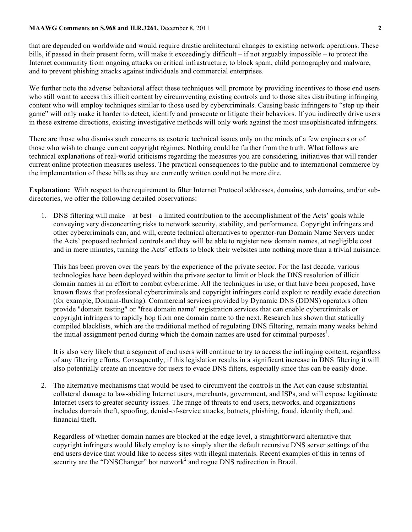## **MAAWG Comments on S.968 and H.R.3261,** December 8, 2011 **2**

that are depended on worldwide and would require drastic architectural changes to existing network operations. These bills, if passed in their present form, will make it exceedingly difficult – if not arguably impossible – to protect the Internet community from ongoing attacks on critical infrastructure, to block spam, child pornography and malware, and to prevent phishing attacks against individuals and commercial enterprises.

We further note the adverse behavioral affect these techniques will promote by providing incentives to those end users who still want to access this illicit content by circumventing existing controls and to those sites distributing infringing content who will employ techniques similar to those used by cybercriminals. Causing basic infringers to "step up their game" will only make it harder to detect, identify and prosecute or litigate their behaviors. If you indirectly drive users in these extreme directions, existing investigative methods will only work against the most unsophisticated infringers.

There are those who dismiss such concerns as esoteric technical issues only on the minds of a few engineers or of those who wish to change current copyright régimes. Nothing could be further from the truth. What follows are technical explanations of real-world criticisms regarding the measures you are considering, initiatives that will render current online protection measures useless. The practical consequences to the public and to international commerce by the implementation of these bills as they are currently written could not be more dire.

**Explanation:** With respect to the requirement to filter Internet Protocol addresses, domains, sub domains, and/or subdirectories, we offer the following detailed observations:

1. DNS filtering will make – at best – a limited contribution to the accomplishment of the Acts' goals while conveying very disconcerting risks to network security, stability, and performance. Copyright infringers and other cybercriminals can, and will, create technical alternatives to operator-run Domain Name Servers under the Acts' proposed technical controls and they will be able to register new domain names, at negligible cost and in mere minutes, turning the Acts' efforts to block their websites into nothing more than a trivial nuisance.

This has been proven over the years by the experience of the private sector. For the last decade, various technologies have been deployed within the private sector to limit or block the DNS resolution of illicit domain names in an effort to combat cybercrime. All the techniques in use, or that have been proposed, have known flaws that professional cybercriminals and copyright infringers could exploit to readily evade detection (for example, Domain-fluxing). Commercial services provided by Dynamic DNS (DDNS) operators often provide "domain tasting" or "free domain name" registration services that can enable cybercriminals or copyright infringers to rapidly hop from one domain name to the next. Research has shown that statically compiled blacklists, which are the traditional method of regulating DNS filtering, remain many weeks behind the initial assignment period during which the domain names are used for criminal purposes<sup>1</sup>.

It is also very likely that a segment of end users will continue to try to access the infringing content, regardless of any filtering efforts. Consequently, if this legislation results in a significant increase in DNS filtering it will also potentially create an incentive for users to evade DNS filters, especially since this can be easily done.

2. The alternative mechanisms that would be used to circumvent the controls in the Act can cause substantial collateral damage to law-abiding Internet users, merchants, government, and ISPs, and will expose legitimate Internet users to greater security issues. The range of threats to end users, networks, and organizations includes domain theft, spoofing, denial-of-service attacks, botnets, phishing, fraud, identity theft, and financial theft.

Regardless of whether domain names are blocked at the edge level, a straightforward alternative that copyright infringers would likely employ is to simply alter the default recursive DNS server settings of the end users device that would like to access sites with illegal materials. Recent examples of this in terms of security are the "DNSChanger" bot network<sup>2</sup> and rogue DNS redirection in Brazil.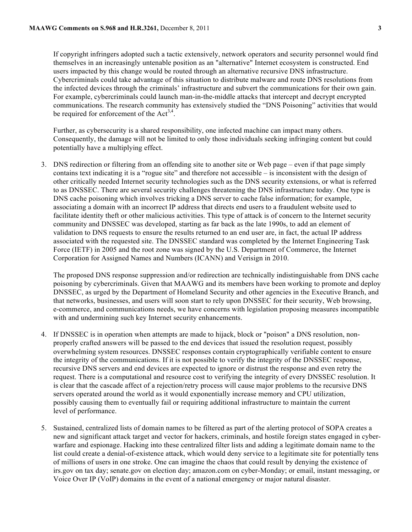If copyright infringers adopted such a tactic extensively, network operators and security personnel would find themselves in an increasingly untenable position as an "alternative" Internet ecosystem is constructed. End users impacted by this change would be routed through an alternative recursive DNS infrastructure. Cybercriminals could take advantage of this situation to distribute malware and route DNS resolutions from the infected devices through the criminals' infrastructure and subvert the communications for their own gain. For example, cybercriminals could launch man-in-the-middle attacks that intercept and decrypt encrypted communications. The research community has extensively studied the "DNS Poisoning" activities that would be required for enforcement of the  $Act^{3,4}$ .

Further, as cybersecurity is a shared responsibility, one infected machine can impact many others. Consequently, the damage will not be limited to only those individuals seeking infringing content but could potentially have a multiplying effect.

3. DNS redirection or filtering from an offending site to another site or Web page – even if that page simply contains text indicating it is a "rogue site" and therefore not accessible – is inconsistent with the design of other critically needed Internet security technologies such as the DNS security extensions, or what is referred to as DNSSEC. There are several security challenges threatening the DNS infrastructure today. One type is DNS cache poisoning which involves tricking a DNS server to cache false information; for example, associating a domain with an incorrect IP address that directs end users to a fraudulent website used to facilitate identity theft or other malicious activities. This type of attack is of concern to the Internet security community and DNSSEC was developed, starting as far back as the late 1990s, to add an element of validation to DNS requests to ensure the results returned to an end user are, in fact, the actual IP address associated with the requested site. The DNSSEC standard was completed by the Internet Engineering Task Force (IETF) in 2005 and the root zone was signed by the U.S. Department of Commerce, the Internet Corporation for Assigned Names and Numbers (ICANN) and Verisign in 2010.

The proposed DNS response suppression and/or redirection are technically indistinguishable from DNS cache poisoning by cybercriminals. Given that MAAWG and its members have been working to promote and deploy DNSSEC, as urged by the Department of Homeland Security and other agencies in the Executive Branch, and that networks, businesses, and users will soon start to rely upon DNSSEC for their security, Web browsing, e-commerce, and communications needs, we have concerns with legislation proposing measures incompatible with and undermining such key Internet security enhancements.

- 4. If DNSSEC is in operation when attempts are made to hijack, block or "poison" a DNS resolution, nonproperly crafted answers will be passed to the end devices that issued the resolution request, possibly overwhelming system resources. DNSSEC responses contain cryptographically verifiable content to ensure the integrity of the communications. If it is not possible to verify the integrity of the DNSSEC response, recursive DNS servers and end devices are expected to ignore or distrust the response and even retry the request. There is a computational and resource cost to verifying the integrity of every DNSSEC resolution. It is clear that the cascade affect of a rejection/retry process will cause major problems to the recursive DNS servers operated around the world as it would exponentially increase memory and CPU utilization, possibly causing them to eventually fail or requiring additional infrastructure to maintain the current level of performance.
- 5. Sustained, centralized lists of domain names to be filtered as part of the alerting protocol of SOPA creates a new and significant attack target and vector for hackers, criminals, and hostile foreign states engaged in cyberwarfare and espionage. Hacking into these centralized filter lists and adding a legitimate domain name to the list could create a denial-of-existence attack, which would deny service to a legitimate site for potentially tens of millions of users in one stroke. One can imagine the chaos that could result by denying the existence of irs.gov on tax day; senate.gov on election day; amazon.com on cyber-Monday; or email, instant messaging, or Voice Over IP (VoIP) domains in the event of a national emergency or major natural disaster.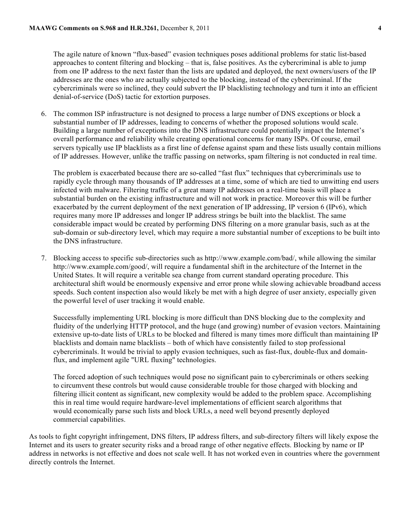The agile nature of known "flux-based" evasion techniques poses additional problems for static list-based approaches to content filtering and blocking – that is, false positives. As the cybercriminal is able to jump from one IP address to the next faster than the lists are updated and deployed, the next owners/users of the IP addresses are the ones who are actually subjected to the blocking, instead of the cybercriminal. If the cybercriminals were so inclined, they could subvert the IP blacklisting technology and turn it into an efficient denial-of-service (DoS) tactic for extortion purposes.

6. The common ISP infrastructure is not designed to process a large number of DNS exceptions or block a substantial number of IP addresses, leading to concerns of whether the proposed solutions would scale. Building a large number of exceptions into the DNS infrastructure could potentially impact the Internet's overall performance and reliability while creating operational concerns for many ISPs. Of course, email servers typically use IP blacklists as a first line of defense against spam and these lists usually contain millions of IP addresses. However, unlike the traffic passing on networks, spam filtering is not conducted in real time.

The problem is exacerbated because there are so-called "fast flux" techniques that cybercriminals use to rapidly cycle through many thousands of IP addresses at a time, some of which are tied to unwitting end users infected with malware. Filtering traffic of a great many IP addresses on a real-time basis will place a substantial burden on the existing infrastructure and will not work in practice. Moreover this will be further exacerbated by the current deployment of the next generation of IP addressing, IP version 6 (IPv6), which requires many more IP addresses and longer IP address strings be built into the blacklist. The same considerable impact would be created by performing DNS filtering on a more granular basis, such as at the sub-domain or sub-directory level, which may require a more substantial number of exceptions to be built into the DNS infrastructure.

7. Blocking access to specific sub-directories such as http://www.example.com/bad/, while allowing the similar http://www.example.com/good/, will require a fundamental shift in the architecture of the Internet in the United States. It will require a veritable sea change from current standard operating procedure. This architectural shift would be enormously expensive and error prone while slowing achievable broadband access speeds. Such content inspection also would likely be met with a high degree of user anxiety, especially given the powerful level of user tracking it would enable.

Successfully implementing URL blocking is more difficult than DNS blocking due to the complexity and fluidity of the underlying HTTP protocol, and the huge (and growing) number of evasion vectors. Maintaining extensive up-to-date lists of URLs to be blocked and filtered is many times more difficult than maintaining IP blacklists and domain name blacklists – both of which have consistently failed to stop professional cybercriminals. It would be trivial to apply evasion techniques, such as fast-flux, double-flux and domainflux, and implement agile "URL fluxing" technologies.

The forced adoption of such techniques would pose no significant pain to cybercriminals or others seeking to circumvent these controls but would cause considerable trouble for those charged with blocking and filtering illicit content as significant, new complexity would be added to the problem space. Accomplishing this in real time would require hardware-level implementations of efficient search algorithms that would economically parse such lists and block URLs, a need well beyond presently deployed commercial capabilities.

As tools to fight copyright infringement, DNS filters, IP address filters, and sub-directory filters will likely expose the Internet and its users to greater security risks and a broad range of other negative effects. Blocking by name or IP address in networks is not effective and does not scale well. It has not worked even in countries where the government directly controls the Internet.